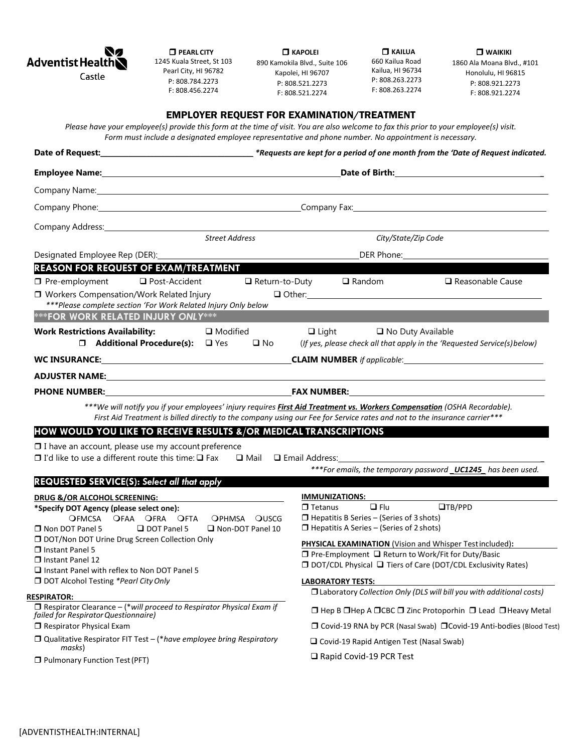

| NZ<br><b>Adventist HealthN</b> |  |
|--------------------------------|--|
| Castle                         |  |

 **PEARL CITY** 1245 Kuala Street, St 103 Pearl City, HI 96782 P: 808.784.2273 F: 808.456.2274

 **KAPOLEI** 890 Kamokila Blvd., Suite 106 Kapolei, HI 96707 P: 808.521.2273 F: 808.521.2274

 **KAILUA**  660 Kailua Road Kailua, HI 96734 P: 808.263.2273 F: 808.263.2274

**N** WAIKIKI 1860 Ala Moana Blvd., #101 Honolulu, HI 96815 P: 808.921.2273 F: 808.921.2274

## [ADVENTISTHEALTH:INTERNAL]